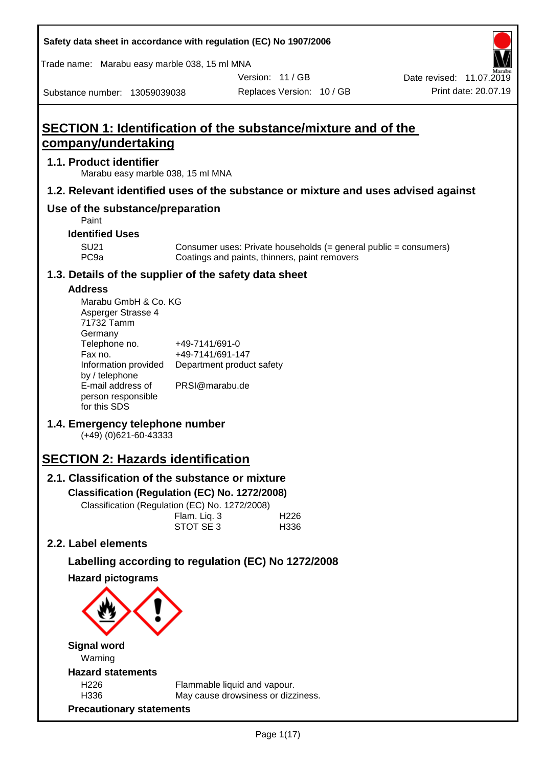| Safety data sheet in accordance with regulation (EC) No 1907/2006                           |                                    |                                                                    |                           |                                                                  |
|---------------------------------------------------------------------------------------------|------------------------------------|--------------------------------------------------------------------|---------------------------|------------------------------------------------------------------|
| Trade name: Marabu easy marble 038, 15 ml MNA                                               |                                    |                                                                    |                           |                                                                  |
|                                                                                             |                                    |                                                                    | Version: 11/GB            | Date revised: 11.07.2019                                         |
| Substance number: 13059039038                                                               |                                    |                                                                    | Replaces Version: 10 / GB | Print date: 20.07.19                                             |
| <b>SECTION 1: Identification of the substance/mixture and of the</b><br>company/undertaking |                                    |                                                                    |                           |                                                                  |
| 1.1. Product identifier<br>Marabu easy marble 038, 15 ml MNA                                |                                    |                                                                    |                           |                                                                  |
| 1.2. Relevant identified uses of the substance or mixture and uses advised against          |                                    |                                                                    |                           |                                                                  |
| Use of the substance/preparation<br>Paint                                                   |                                    |                                                                    |                           |                                                                  |
| <b>Identified Uses</b>                                                                      |                                    |                                                                    |                           |                                                                  |
| <b>SU21</b><br>PC <sub>9a</sub>                                                             |                                    | Coatings and paints, thinners, paint removers                      |                           | Consumer uses: Private households (= general public = consumers) |
| 1.3. Details of the supplier of the safety data sheet                                       |                                    |                                                                    |                           |                                                                  |
| <b>Address</b>                                                                              |                                    |                                                                    |                           |                                                                  |
| Marabu GmbH & Co. KG<br>Asperger Strasse 4<br>71732 Tamm<br>Germany                         |                                    |                                                                    |                           |                                                                  |
| Telephone no.<br>Fax no.<br>Information provided                                            | +49-7141/691-0<br>+49-7141/691-147 | Department product safety                                          |                           |                                                                  |
| by / telephone<br>E-mail address of<br>person responsible<br>for this SDS                   | PRSI@marabu.de                     |                                                                    |                           |                                                                  |
| 1.4. Emergency telephone number<br>$(+49)$ (0)621-60-43333                                  |                                    |                                                                    |                           |                                                                  |
| <b>SECTION 2: Hazards identification</b>                                                    |                                    |                                                                    |                           |                                                                  |
| 2.1. Classification of the substance or mixture                                             |                                    |                                                                    |                           |                                                                  |
| Classification (Regulation (EC) No. 1272/2008)                                              |                                    |                                                                    |                           |                                                                  |
| Classification (Regulation (EC) No. 1272/2008)                                              |                                    |                                                                    |                           |                                                                  |
|                                                                                             | Flam. Liq. 3<br>STOT SE 3          |                                                                    | H <sub>226</sub><br>H336  |                                                                  |
| 2.2. Label elements                                                                         |                                    |                                                                    |                           |                                                                  |
| Labelling according to regulation (EC) No 1272/2008                                         |                                    |                                                                    |                           |                                                                  |
| <b>Hazard pictograms</b>                                                                    |                                    |                                                                    |                           |                                                                  |
|                                                                                             |                                    |                                                                    |                           |                                                                  |
|                                                                                             |                                    |                                                                    |                           |                                                                  |
| <b>Signal word</b><br>Warning                                                               |                                    |                                                                    |                           |                                                                  |
| <b>Hazard statements</b>                                                                    |                                    |                                                                    |                           |                                                                  |
| H <sub>226</sub><br>H336                                                                    |                                    | Flammable liquid and vapour.<br>May cause drowsiness or dizziness. |                           |                                                                  |
| <b>Precautionary statements</b>                                                             |                                    |                                                                    |                           |                                                                  |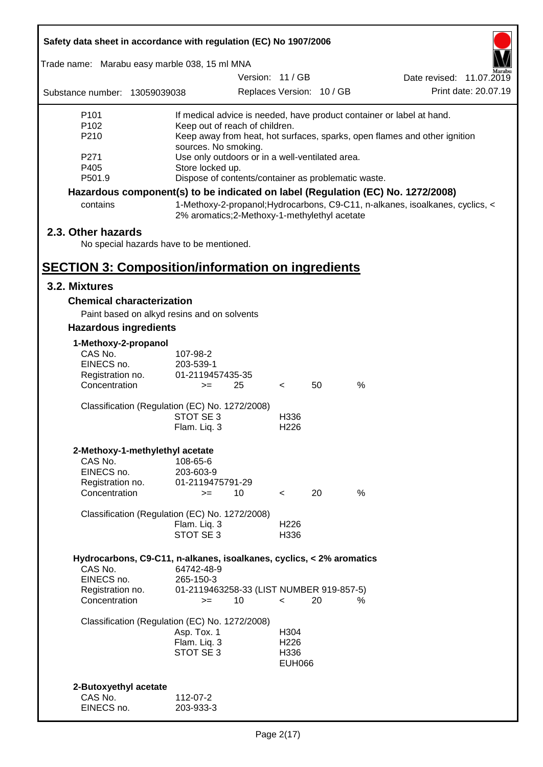| Safety data sheet in accordance with regulation (EC) No 1907/2006                             |                                                                                                                                                                                                                                                                 |                  |                                                   |                           |                                                                                 |  |
|-----------------------------------------------------------------------------------------------|-----------------------------------------------------------------------------------------------------------------------------------------------------------------------------------------------------------------------------------------------------------------|------------------|---------------------------------------------------|---------------------------|---------------------------------------------------------------------------------|--|
| Trade name: Marabu easy marble 038, 15 ml MNA                                                 |                                                                                                                                                                                                                                                                 |                  |                                                   |                           |                                                                                 |  |
|                                                                                               |                                                                                                                                                                                                                                                                 | Version: 11 / GB |                                                   |                           | Date revised: 11.07.2019                                                        |  |
| Substance number: 13059039038                                                                 |                                                                                                                                                                                                                                                                 |                  |                                                   | Replaces Version: 10 / GB | Print date: 20.07.19                                                            |  |
| P <sub>101</sub><br>P102<br>P210<br>P271                                                      | If medical advice is needed, have product container or label at hand.<br>Keep out of reach of children.<br>Keep away from heat, hot surfaces, sparks, open flames and other ignition<br>sources. No smoking.<br>Use only outdoors or in a well-ventilated area. |                  |                                                   |                           |                                                                                 |  |
| P405<br>P501.9                                                                                | Store locked up.<br>Dispose of contents/container as problematic waste.                                                                                                                                                                                         |                  |                                                   |                           |                                                                                 |  |
|                                                                                               |                                                                                                                                                                                                                                                                 |                  |                                                   |                           | Hazardous component(s) to be indicated on label (Regulation (EC) No. 1272/2008) |  |
| contains                                                                                      | 2% aromatics;2-Methoxy-1-methylethyl acetate                                                                                                                                                                                                                    |                  |                                                   |                           | 1-Methoxy-2-propanol; Hydrocarbons, C9-C11, n-alkanes, isoalkanes, cyclics, <   |  |
| 2.3. Other hazards<br>No special hazards have to be mentioned.                                |                                                                                                                                                                                                                                                                 |                  |                                                   |                           |                                                                                 |  |
| <b>SECTION 3: Composition/information on ingredients</b>                                      |                                                                                                                                                                                                                                                                 |                  |                                                   |                           |                                                                                 |  |
| 3.2. Mixtures                                                                                 |                                                                                                                                                                                                                                                                 |                  |                                                   |                           |                                                                                 |  |
| <b>Chemical characterization</b>                                                              |                                                                                                                                                                                                                                                                 |                  |                                                   |                           |                                                                                 |  |
| Paint based on alkyd resins and on solvents                                                   |                                                                                                                                                                                                                                                                 |                  |                                                   |                           |                                                                                 |  |
| <b>Hazardous ingredients</b>                                                                  |                                                                                                                                                                                                                                                                 |                  |                                                   |                           |                                                                                 |  |
| 1-Methoxy-2-propanol<br>CAS No.<br>EINECS no.<br>Registration no.<br>Concentration            | 107-98-2<br>203-539-1<br>01-2119457435-35<br>$>=$                                                                                                                                                                                                               | 25               | $\lt$                                             | 50                        | %                                                                               |  |
| Classification (Regulation (EC) No. 1272/2008)                                                |                                                                                                                                                                                                                                                                 |                  |                                                   |                           |                                                                                 |  |
|                                                                                               | STOT SE 3<br>Flam. Liq. 3                                                                                                                                                                                                                                       |                  | H336<br>H <sub>226</sub>                          |                           |                                                                                 |  |
| 2-Methoxy-1-methylethyl acetate<br>CAS No.<br>EINECS no.<br>Registration no.<br>Concentration | 108-65-6<br>203-603-9<br>01-2119475791-29<br>$>=$                                                                                                                                                                                                               | 10               | $\overline{\phantom{a}}$                          | 20                        | $\frac{0}{0}$                                                                   |  |
| Classification (Regulation (EC) No. 1272/2008)                                                | Flam. Liq. 3<br>STOT SE 3                                                                                                                                                                                                                                       |                  | H226<br>H336                                      |                           |                                                                                 |  |
| Hydrocarbons, C9-C11, n-alkanes, isoalkanes, cyclics, < 2% aromatics<br>CAS No.               | 64742-48-9                                                                                                                                                                                                                                                      |                  |                                                   |                           |                                                                                 |  |
| EINECS no.<br>Registration no.<br>Concentration                                               | 265-150-3<br>01-2119463258-33 (LIST NUMBER 919-857-5)<br>$>=$                                                                                                                                                                                                   | 10               | $\,<\,$                                           | 20                        | ℅                                                                               |  |
| Classification (Regulation (EC) No. 1272/2008)                                                | Asp. Tox. 1<br>Flam. Liq. 3<br>STOT SE 3                                                                                                                                                                                                                        |                  | H304<br>H <sub>226</sub><br>H336<br><b>EUH066</b> |                           |                                                                                 |  |
| 2-Butoxyethyl acetate<br>CAS No.<br>EINECS no.                                                | 112-07-2<br>203-933-3                                                                                                                                                                                                                                           |                  |                                                   |                           |                                                                                 |  |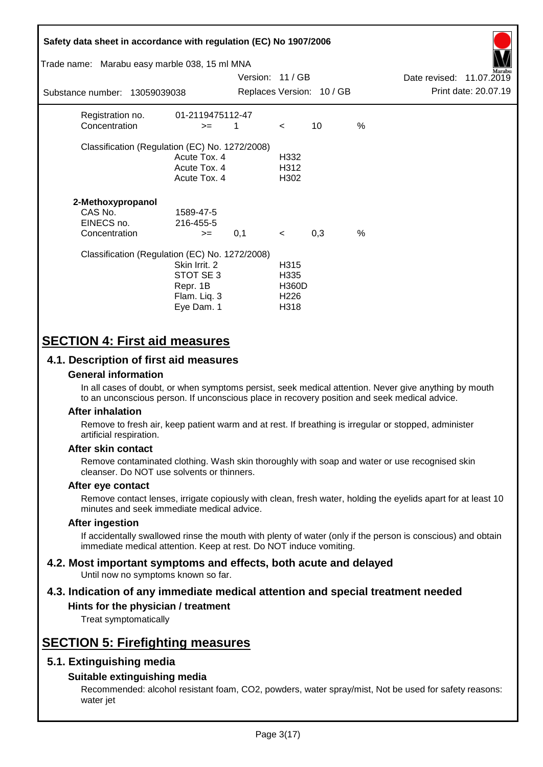| Safety data sheet in accordance with regulation (EC) No 1907/2006<br>Trade name: Marabu easy marble 038, 15 ml MNA |                                                                      | Version: 11/GB |                                                          |                           |               | Date revised: 11.07.2019 | farabu               |
|--------------------------------------------------------------------------------------------------------------------|----------------------------------------------------------------------|----------------|----------------------------------------------------------|---------------------------|---------------|--------------------------|----------------------|
| Substance number: 13059039038                                                                                      |                                                                      |                |                                                          | Replaces Version: 10 / GB |               |                          | Print date: 20.07.19 |
| Registration no.<br>Concentration                                                                                  | 01-2119475112-47<br>$>=$                                             | 1              | $\lt$                                                    | 10                        | $\frac{0}{0}$ |                          |                      |
| Classification (Regulation (EC) No. 1272/2008)                                                                     | Acute Tox. 4<br>Acute Tox. 4<br>Acute Tox. 4                         |                | H332<br>H312<br>H302                                     |                           |               |                          |                      |
| 2-Methoxypropanol<br>CAS No.<br>EINECS no.<br>Concentration                                                        | 1589-47-5<br>216-455-5<br>$>=$                                       | 0,1            | $\prec$                                                  | 0,3                       | %             |                          |                      |
| Classification (Regulation (EC) No. 1272/2008)                                                                     | Skin Irrit, 2<br>STOT SE 3<br>Repr. 1B<br>Flam. Liq. 3<br>Eye Dam. 1 |                | H315<br>H335<br><b>H360D</b><br>H <sub>226</sub><br>H318 |                           |               |                          |                      |

# **SECTION 4: First aid measures**

## **4.1. Description of first aid measures**

### **General information**

In all cases of doubt, or when symptoms persist, seek medical attention. Never give anything by mouth to an unconscious person. If unconscious place in recovery position and seek medical advice.

### **After inhalation**

Remove to fresh air, keep patient warm and at rest. If breathing is irregular or stopped, administer artificial respiration.

### **After skin contact**

Remove contaminated clothing. Wash skin thoroughly with soap and water or use recognised skin cleanser. Do NOT use solvents or thinners.

### **After eye contact**

Remove contact lenses, irrigate copiously with clean, fresh water, holding the eyelids apart for at least 10 minutes and seek immediate medical advice.

#### **After ingestion**

If accidentally swallowed rinse the mouth with plenty of water (only if the person is conscious) and obtain immediate medical attention. Keep at rest. Do NOT induce vomiting.

#### **4.2. Most important symptoms and effects, both acute and delayed** Until now no symptoms known so far.

# **4.3. Indication of any immediate medical attention and special treatment needed**

## **Hints for the physician / treatment**

Treat symptomatically

# **SECTION 5: Firefighting measures**

## **5.1. Extinguishing media**

### **Suitable extinguishing media**

Recommended: alcohol resistant foam, CO2, powders, water spray/mist, Not be used for safety reasons: water jet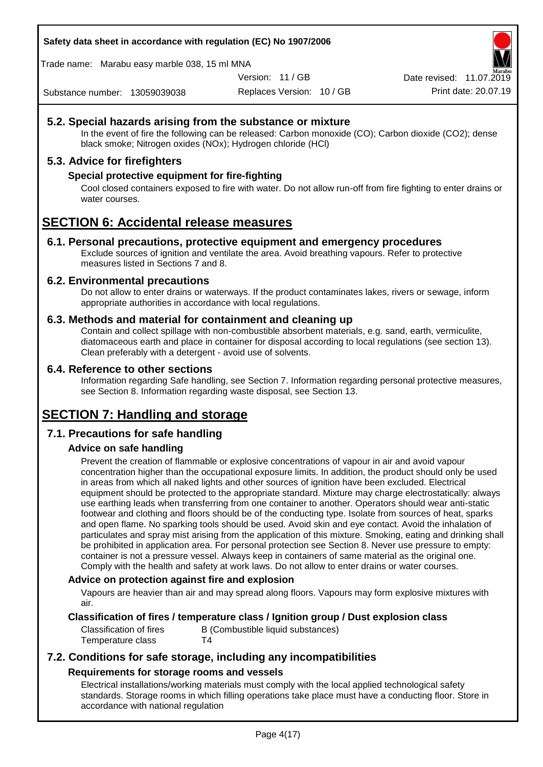**Safety data sheet in accordance with regulation (EC) No 1907/2006**

Trade name: Marabu easy marble 038, 15 ml MNA

Version: 11 / GB

Replaces Version: 10 / GB Print date: 20.07.19 Date revised: 11.07.2019

Substance number: 13059039038

## **5.2. Special hazards arising from the substance or mixture**

In the event of fire the following can be released: Carbon monoxide (CO); Carbon dioxide (CO2); dense black smoke; Nitrogen oxides (NOx); Hydrogen chloride (HCl)

## **5.3. Advice for firefighters**

### **Special protective equipment for fire-fighting**

Cool closed containers exposed to fire with water. Do not allow run-off from fire fighting to enter drains or water courses.

# **SECTION 6: Accidental release measures**

### **6.1. Personal precautions, protective equipment and emergency procedures**

Exclude sources of ignition and ventilate the area. Avoid breathing vapours. Refer to protective measures listed in Sections 7 and 8.

### **6.2. Environmental precautions**

Do not allow to enter drains or waterways. If the product contaminates lakes, rivers or sewage, inform appropriate authorities in accordance with local regulations.

### **6.3. Methods and material for containment and cleaning up**

Contain and collect spillage with non-combustible absorbent materials, e.g. sand, earth, vermiculite, diatomaceous earth and place in container for disposal according to local regulations (see section 13). Clean preferably with a detergent - avoid use of solvents.

### **6.4. Reference to other sections**

Information regarding Safe handling, see Section 7. Information regarding personal protective measures, see Section 8. Information regarding waste disposal, see Section 13.

# **SECTION 7: Handling and storage**

## **7.1. Precautions for safe handling**

## **Advice on safe handling**

Prevent the creation of flammable or explosive concentrations of vapour in air and avoid vapour concentration higher than the occupational exposure limits. In addition, the product should only be used in areas from which all naked lights and other sources of ignition have been excluded. Electrical equipment should be protected to the appropriate standard. Mixture may charge electrostatically: always use earthing leads when transferring from one container to another. Operators should wear anti-static footwear and clothing and floors should be of the conducting type. Isolate from sources of heat, sparks and open flame. No sparking tools should be used. Avoid skin and eye contact. Avoid the inhalation of particulates and spray mist arising from the application of this mixture. Smoking, eating and drinking shall be prohibited in application area. For personal protection see Section 8. Never use pressure to empty: container is not a pressure vessel. Always keep in containers of same material as the original one. Comply with the health and safety at work laws. Do not allow to enter drains or water courses.

### **Advice on protection against fire and explosion**

Vapours are heavier than air and may spread along floors. Vapours may form explosive mixtures with air.

### **Classification of fires / temperature class / Ignition group / Dust explosion class**

Temperature class T4

Classification of fires B (Combustible liquid substances)

## **7.2. Conditions for safe storage, including any incompatibilities Requirements for storage rooms and vessels**

Electrical installations/working materials must comply with the local applied technological safety standards. Storage rooms in which filling operations take place must have a conducting floor. Store in accordance with national regulation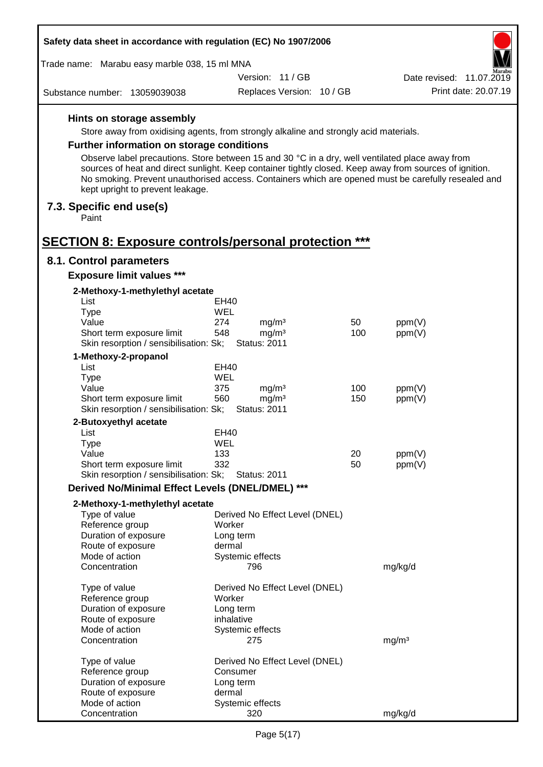| Safety data sheet in accordance with regulation (EC) No 1907/2006   |                                                                                                                                                                                                                |          |                          |  |  |
|---------------------------------------------------------------------|----------------------------------------------------------------------------------------------------------------------------------------------------------------------------------------------------------------|----------|--------------------------|--|--|
| Trade name: Marabu easy marble 038, 15 ml MNA                       |                                                                                                                                                                                                                |          | farabu                   |  |  |
|                                                                     | Version: 11/GB                                                                                                                                                                                                 |          | Date revised: 11.07.2019 |  |  |
| Substance number: 13059039038                                       | Replaces Version: 10 / GB                                                                                                                                                                                      |          | Print date: 20.07.19     |  |  |
| Hints on storage assembly                                           |                                                                                                                                                                                                                |          |                          |  |  |
|                                                                     | Store away from oxidising agents, from strongly alkaline and strongly acid materials.                                                                                                                          |          |                          |  |  |
| <b>Further information on storage conditions</b>                    |                                                                                                                                                                                                                |          |                          |  |  |
|                                                                     | Observe label precautions. Store between 15 and 30 °C in a dry, well ventilated place away from                                                                                                                |          |                          |  |  |
| kept upright to prevent leakage.                                    | sources of heat and direct sunlight. Keep container tightly closed. Keep away from sources of ignition.<br>No smoking. Prevent unauthorised access. Containers which are opened must be carefully resealed and |          |                          |  |  |
| 7.3. Specific end use(s)<br>Paint                                   |                                                                                                                                                                                                                |          |                          |  |  |
| <b>SECTION 8: Exposure controls/personal protection ***</b>         |                                                                                                                                                                                                                |          |                          |  |  |
| 8.1. Control parameters                                             |                                                                                                                                                                                                                |          |                          |  |  |
| <b>Exposure limit values ***</b>                                    |                                                                                                                                                                                                                |          |                          |  |  |
| 2-Methoxy-1-methylethyl acetate                                     |                                                                                                                                                                                                                |          |                          |  |  |
| List                                                                | EH40                                                                                                                                                                                                           |          |                          |  |  |
| <b>Type</b>                                                         | <b>WEL</b>                                                                                                                                                                                                     |          |                          |  |  |
| Value                                                               | 274<br>mg/m <sup>3</sup>                                                                                                                                                                                       | 50       | ppm(V)                   |  |  |
| Short term exposure limit<br>Skin resorption / sensibilisation: Sk; | 548<br>mg/m <sup>3</sup><br><b>Status: 2011</b>                                                                                                                                                                | 100      | ppm(V)                   |  |  |
| 1-Methoxy-2-propanol                                                |                                                                                                                                                                                                                |          |                          |  |  |
| List                                                                | <b>EH40</b>                                                                                                                                                                                                    |          |                          |  |  |
| <b>Type</b>                                                         | WEL                                                                                                                                                                                                            |          |                          |  |  |
| Value                                                               | 375<br>mg/m <sup>3</sup>                                                                                                                                                                                       | 100      | ppm(V)                   |  |  |
| Short term exposure limit<br>Skin resorption / sensibilisation: Sk; | 560<br>mg/m <sup>3</sup><br><b>Status: 2011</b>                                                                                                                                                                | 150      | ppm(V)                   |  |  |
| 2-Butoxyethyl acetate                                               |                                                                                                                                                                                                                |          |                          |  |  |
| List                                                                | EH40                                                                                                                                                                                                           |          |                          |  |  |
| Type                                                                | WEL                                                                                                                                                                                                            |          |                          |  |  |
| Value<br>Short term exposure limit                                  | 133<br>332                                                                                                                                                                                                     | 20<br>50 | ppm(V)                   |  |  |
| Skin resorption / sensibilisation: Sk;                              | <b>Status: 2011</b>                                                                                                                                                                                            |          | ppm(V)                   |  |  |
| Derived No/Minimal Effect Levels (DNEL/DMEL) ***                    |                                                                                                                                                                                                                |          |                          |  |  |
| 2-Methoxy-1-methylethyl acetate                                     |                                                                                                                                                                                                                |          |                          |  |  |
| Type of value                                                       | Derived No Effect Level (DNEL)                                                                                                                                                                                 |          |                          |  |  |
| Reference group                                                     | Worker                                                                                                                                                                                                         |          |                          |  |  |
| Duration of exposure                                                | Long term                                                                                                                                                                                                      |          |                          |  |  |
| Route of exposure<br>Mode of action                                 | dermal<br>Systemic effects                                                                                                                                                                                     |          |                          |  |  |
| Concentration                                                       | 796                                                                                                                                                                                                            |          | mg/kg/d                  |  |  |
| Type of value                                                       | Derived No Effect Level (DNEL)                                                                                                                                                                                 |          |                          |  |  |
| Reference group                                                     | Worker                                                                                                                                                                                                         |          |                          |  |  |
| Duration of exposure                                                | Long term                                                                                                                                                                                                      |          |                          |  |  |
| Route of exposure<br>Mode of action                                 | inhalative<br>Systemic effects                                                                                                                                                                                 |          |                          |  |  |
| Concentration                                                       | 275                                                                                                                                                                                                            |          | mg/m <sup>3</sup>        |  |  |
| Type of value                                                       | Derived No Effect Level (DNEL)                                                                                                                                                                                 |          |                          |  |  |
| Reference group                                                     | Consumer                                                                                                                                                                                                       |          |                          |  |  |
| Duration of exposure                                                | Long term                                                                                                                                                                                                      |          |                          |  |  |
| Route of exposure                                                   | dermal                                                                                                                                                                                                         |          |                          |  |  |
| Mode of action                                                      | Systemic effects                                                                                                                                                                                               |          |                          |  |  |
| Concentration                                                       | 320                                                                                                                                                                                                            |          | mg/kg/d                  |  |  |

 $\Gamma$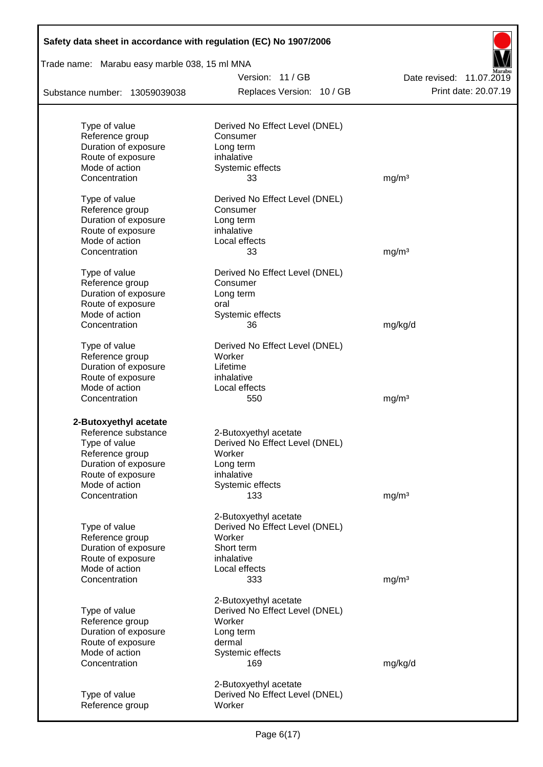| Safety data sheet in accordance with regulation (EC) No 1907/2006 |                                |                          |
|-------------------------------------------------------------------|--------------------------------|--------------------------|
| Trade name: Marabu easy marble 038, 15 ml MNA                     |                                |                          |
|                                                                   | Version: 11 / GB               | Date revised: 11.07.2019 |
| Substance number: 13059039038                                     | Replaces Version: 10 / GB      | Print date: 20.07.19     |
| Type of value                                                     | Derived No Effect Level (DNEL) |                          |
| Reference group                                                   | Consumer                       |                          |
| Duration of exposure                                              | Long term                      |                          |
| Route of exposure                                                 | inhalative                     |                          |
| Mode of action                                                    | Systemic effects               |                          |
| Concentration                                                     | 33                             | mg/m <sup>3</sup>        |
| Type of value                                                     | Derived No Effect Level (DNEL) |                          |
| Reference group                                                   | Consumer                       |                          |
| Duration of exposure                                              | Long term                      |                          |
| Route of exposure                                                 | inhalative                     |                          |
| Mode of action                                                    | Local effects                  |                          |
| Concentration                                                     | 33                             | mg/m <sup>3</sup>        |
| Type of value                                                     | Derived No Effect Level (DNEL) |                          |
| Reference group                                                   | Consumer                       |                          |
| Duration of exposure                                              | Long term                      |                          |
| Route of exposure                                                 | oral                           |                          |
| Mode of action                                                    | Systemic effects               |                          |
| Concentration                                                     | 36                             | mg/kg/d                  |
| Type of value                                                     | Derived No Effect Level (DNEL) |                          |
| Reference group                                                   | Worker                         |                          |
| Duration of exposure                                              | Lifetime                       |                          |
| Route of exposure                                                 | inhalative                     |                          |
| Mode of action                                                    | Local effects                  |                          |
| Concentration                                                     | 550                            | mg/m <sup>3</sup>        |
| 2-Butoxyethyl acetate                                             |                                |                          |
| Reference substance                                               | 2-Butoxyethyl acetate          |                          |
| Type of value                                                     | Derived No Effect Level (DNEL) |                          |
| Reference group                                                   | Worker                         |                          |
| Duration of exposure                                              | Long term                      |                          |
| Route of exposure                                                 | inhalative                     |                          |
| Mode of action                                                    | Systemic effects               |                          |
| Concentration                                                     | 133                            | mg/m <sup>3</sup>        |
|                                                                   | 2-Butoxyethyl acetate          |                          |
| Type of value                                                     | Derived No Effect Level (DNEL) |                          |
| Reference group                                                   | Worker                         |                          |
| Duration of exposure                                              | Short term                     |                          |
| Route of exposure                                                 | inhalative                     |                          |
| Mode of action                                                    | Local effects                  |                          |
| Concentration                                                     | 333                            | mg/m <sup>3</sup>        |
|                                                                   | 2-Butoxyethyl acetate          |                          |
| Type of value                                                     | Derived No Effect Level (DNEL) |                          |
| Reference group                                                   | Worker                         |                          |
| Duration of exposure                                              | Long term                      |                          |
| Route of exposure                                                 | dermal                         |                          |
| Mode of action                                                    | Systemic effects               |                          |
| Concentration                                                     | 169                            | mg/kg/d                  |
|                                                                   | 2-Butoxyethyl acetate          |                          |
| Type of value                                                     | Derived No Effect Level (DNEL) |                          |
| Reference group                                                   | Worker                         |                          |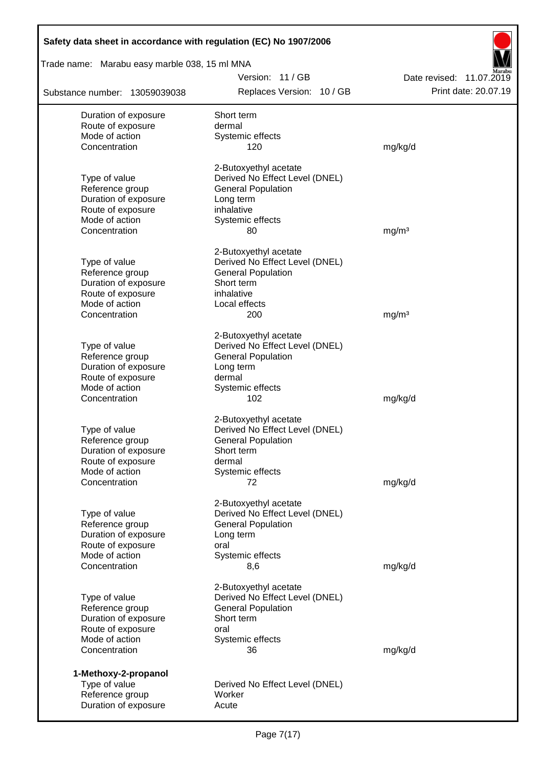| Safety data sheet in accordance with regulation (EC) No 1907/2006 |                                                             |                          |
|-------------------------------------------------------------------|-------------------------------------------------------------|--------------------------|
| Trade name: Marabu easy marble 038, 15 ml MNA                     |                                                             |                          |
|                                                                   | Version: 11/GB                                              | Date revised: 11.07.2019 |
| Substance number: 13059039038                                     | Replaces Version: 10 / GB                                   | Print date: 20.07.19     |
| Duration of exposure                                              | Short term                                                  |                          |
| Route of exposure                                                 | dermal                                                      |                          |
| Mode of action                                                    | Systemic effects                                            |                          |
| Concentration                                                     | 120                                                         | mg/kg/d                  |
|                                                                   | 2-Butoxyethyl acetate                                       |                          |
| Type of value                                                     | Derived No Effect Level (DNEL)                              |                          |
| Reference group                                                   | <b>General Population</b>                                   |                          |
| Duration of exposure<br>Route of exposure                         | Long term<br>inhalative                                     |                          |
| Mode of action                                                    | Systemic effects                                            |                          |
| Concentration                                                     | 80                                                          | mg/m <sup>3</sup>        |
|                                                                   |                                                             |                          |
| Type of value                                                     | 2-Butoxyethyl acetate                                       |                          |
| Reference group                                                   | Derived No Effect Level (DNEL)<br><b>General Population</b> |                          |
| Duration of exposure                                              | Short term                                                  |                          |
| Route of exposure                                                 | inhalative                                                  |                          |
| Mode of action                                                    | Local effects                                               |                          |
| Concentration                                                     | 200                                                         | mg/m <sup>3</sup>        |
|                                                                   | 2-Butoxyethyl acetate                                       |                          |
| Type of value                                                     | Derived No Effect Level (DNEL)                              |                          |
| Reference group                                                   | <b>General Population</b>                                   |                          |
| Duration of exposure                                              | Long term                                                   |                          |
| Route of exposure<br>Mode of action                               | dermal<br>Systemic effects                                  |                          |
| Concentration                                                     | 102                                                         | mg/kg/d                  |
|                                                                   |                                                             |                          |
| Type of value                                                     | 2-Butoxyethyl acetate<br>Derived No Effect Level (DNEL)     |                          |
| Reference group                                                   | <b>General Population</b>                                   |                          |
| Duration of exposure                                              | Short term                                                  |                          |
| Route of exposure                                                 | dermal                                                      |                          |
| Mode of action                                                    | Systemic effects                                            |                          |
| Concentration                                                     | 72                                                          | mg/kg/d                  |
|                                                                   | 2-Butoxyethyl acetate                                       |                          |
| Type of value                                                     | Derived No Effect Level (DNEL)                              |                          |
| Reference group                                                   | <b>General Population</b>                                   |                          |
| Duration of exposure<br>Route of exposure                         | Long term<br>oral                                           |                          |
| Mode of action                                                    | Systemic effects                                            |                          |
| Concentration                                                     | 8,6                                                         | mg/kg/d                  |
|                                                                   | 2-Butoxyethyl acetate                                       |                          |
| Type of value                                                     | Derived No Effect Level (DNEL)                              |                          |
| Reference group                                                   | <b>General Population</b>                                   |                          |
| Duration of exposure                                              | Short term                                                  |                          |
| Route of exposure                                                 | oral                                                        |                          |
| Mode of action<br>Concentration                                   | Systemic effects<br>36                                      | mg/kg/d                  |
|                                                                   |                                                             |                          |
| 1-Methoxy-2-propanol<br>Type of value                             | Derived No Effect Level (DNEL)                              |                          |
| Reference group                                                   | Worker                                                      |                          |
| Duration of exposure                                              | Acute                                                       |                          |
|                                                                   |                                                             |                          |

Г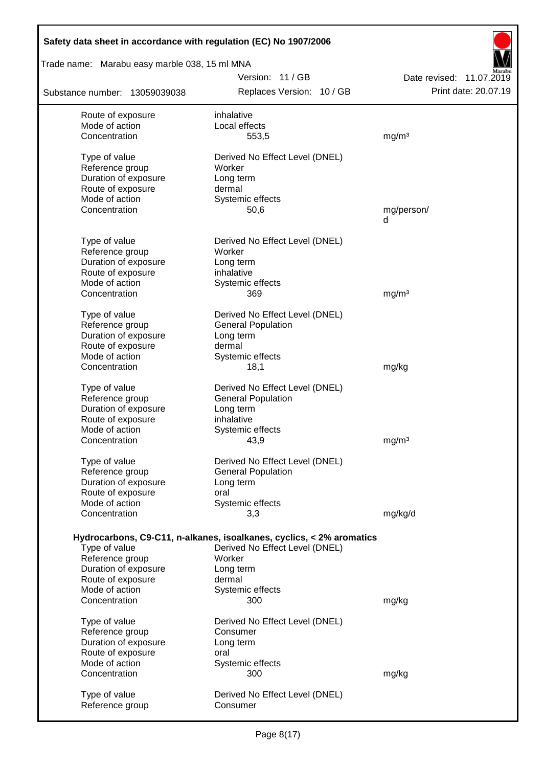| Safety data sheet in accordance with regulation (EC) No 1907/2006 |                                                                      |                          |  |  |  |
|-------------------------------------------------------------------|----------------------------------------------------------------------|--------------------------|--|--|--|
| Trade name: Marabu easy marble 038, 15 ml MNA                     |                                                                      |                          |  |  |  |
|                                                                   | Version: 11 / GB                                                     | Date revised: 11.07.2019 |  |  |  |
| Substance number: 13059039038                                     | Replaces Version: 10 / GB                                            | Print date: 20.07.19     |  |  |  |
| Route of exposure                                                 | inhalative                                                           |                          |  |  |  |
| Mode of action                                                    | Local effects                                                        |                          |  |  |  |
| Concentration                                                     | 553,5                                                                | mg/m <sup>3</sup>        |  |  |  |
| Type of value                                                     | Derived No Effect Level (DNEL)                                       |                          |  |  |  |
| Reference group                                                   | Worker                                                               |                          |  |  |  |
| Duration of exposure                                              | Long term                                                            |                          |  |  |  |
| Route of exposure                                                 | dermal                                                               |                          |  |  |  |
| Mode of action<br>Concentration                                   | Systemic effects<br>50,6                                             | mg/person/               |  |  |  |
|                                                                   |                                                                      | d                        |  |  |  |
|                                                                   |                                                                      |                          |  |  |  |
| Type of value                                                     | Derived No Effect Level (DNEL)                                       |                          |  |  |  |
| Reference group                                                   | Worker                                                               |                          |  |  |  |
| Duration of exposure<br>Route of exposure                         | Long term<br>inhalative                                              |                          |  |  |  |
| Mode of action                                                    | Systemic effects                                                     |                          |  |  |  |
| Concentration                                                     | 369                                                                  | mg/m <sup>3</sup>        |  |  |  |
|                                                                   |                                                                      |                          |  |  |  |
| Type of value<br>Reference group                                  | Derived No Effect Level (DNEL)<br><b>General Population</b>          |                          |  |  |  |
| Duration of exposure                                              | Long term                                                            |                          |  |  |  |
| Route of exposure                                                 | dermal                                                               |                          |  |  |  |
| Mode of action                                                    | Systemic effects                                                     |                          |  |  |  |
| Concentration                                                     | 18,1                                                                 | mg/kg                    |  |  |  |
| Type of value                                                     | Derived No Effect Level (DNEL)                                       |                          |  |  |  |
| Reference group                                                   | <b>General Population</b>                                            |                          |  |  |  |
| Duration of exposure                                              | Long term                                                            |                          |  |  |  |
| Route of exposure                                                 | inhalative                                                           |                          |  |  |  |
| Mode of action                                                    | Systemic effects                                                     |                          |  |  |  |
| Concentration                                                     | 43,9                                                                 | mg/m <sup>3</sup>        |  |  |  |
| Type of value                                                     | Derived No Effect Level (DNEL)                                       |                          |  |  |  |
| Reference group                                                   | <b>General Population</b>                                            |                          |  |  |  |
| Duration of exposure                                              | Long term                                                            |                          |  |  |  |
| Route of exposure                                                 | oral                                                                 |                          |  |  |  |
| Mode of action                                                    | Systemic effects                                                     |                          |  |  |  |
| Concentration                                                     | 3,3                                                                  | mg/kg/d                  |  |  |  |
|                                                                   | Hydrocarbons, C9-C11, n-alkanes, isoalkanes, cyclics, < 2% aromatics |                          |  |  |  |
| Type of value                                                     | Derived No Effect Level (DNEL)                                       |                          |  |  |  |
| Reference group                                                   | Worker                                                               |                          |  |  |  |
| Duration of exposure                                              | Long term                                                            |                          |  |  |  |
| Route of exposure                                                 | dermal                                                               |                          |  |  |  |
| Mode of action<br>Concentration                                   | Systemic effects<br>300                                              | mg/kg                    |  |  |  |
|                                                                   |                                                                      |                          |  |  |  |
| Type of value                                                     | Derived No Effect Level (DNEL)                                       |                          |  |  |  |
| Reference group                                                   | Consumer                                                             |                          |  |  |  |
| Duration of exposure                                              | Long term                                                            |                          |  |  |  |
| Route of exposure                                                 | oral                                                                 |                          |  |  |  |
| Mode of action<br>Concentration                                   | Systemic effects<br>300                                              | mg/kg                    |  |  |  |
|                                                                   |                                                                      |                          |  |  |  |
| Type of value                                                     | Derived No Effect Level (DNEL)                                       |                          |  |  |  |
| Reference group                                                   | Consumer                                                             |                          |  |  |  |
|                                                                   |                                                                      |                          |  |  |  |

 $\overline{\phantom{a}}$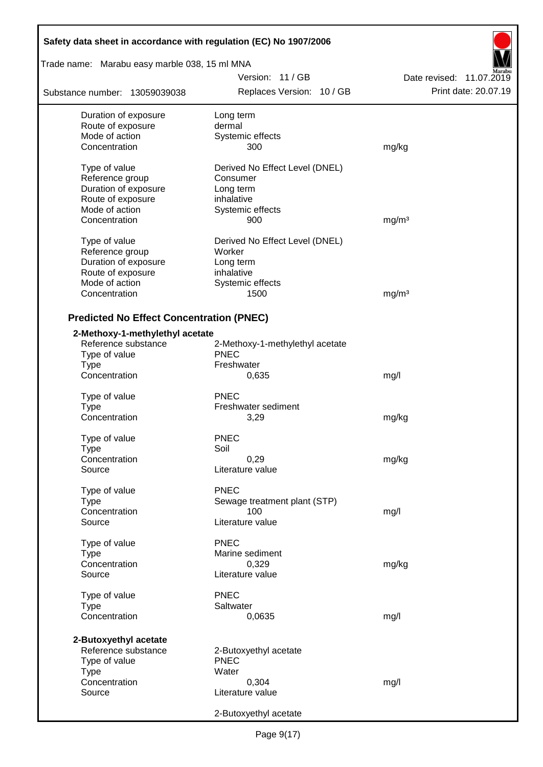| Safety data sheet in accordance with regulation (EC) No 1907/2006 |                                      |                          |  |  |  |
|-------------------------------------------------------------------|--------------------------------------|--------------------------|--|--|--|
| Trade name: Marabu easy marble 038, 15 ml MNA                     |                                      |                          |  |  |  |
|                                                                   | Version: 11/GB                       | Date revised: 11.07.2019 |  |  |  |
| Substance number: 13059039038                                     | Replaces Version: 10 / GB            | Print date: 20.07.19     |  |  |  |
| Duration of exposure                                              | Long term                            |                          |  |  |  |
| Route of exposure                                                 | dermal                               |                          |  |  |  |
| Mode of action                                                    | Systemic effects                     |                          |  |  |  |
| Concentration                                                     | 300                                  | mg/kg                    |  |  |  |
| Type of value                                                     | Derived No Effect Level (DNEL)       |                          |  |  |  |
| Reference group                                                   | Consumer                             |                          |  |  |  |
| Duration of exposure                                              | Long term                            |                          |  |  |  |
| Route of exposure                                                 | inhalative                           |                          |  |  |  |
| Mode of action                                                    | Systemic effects                     |                          |  |  |  |
| Concentration                                                     | 900                                  | mg/m <sup>3</sup>        |  |  |  |
| Type of value                                                     | Derived No Effect Level (DNEL)       |                          |  |  |  |
| Reference group                                                   | Worker                               |                          |  |  |  |
| Duration of exposure                                              | Long term                            |                          |  |  |  |
| Route of exposure                                                 | inhalative                           |                          |  |  |  |
| Mode of action                                                    | Systemic effects                     |                          |  |  |  |
| Concentration                                                     | 1500                                 | mg/m <sup>3</sup>        |  |  |  |
| <b>Predicted No Effect Concentration (PNEC)</b>                   |                                      |                          |  |  |  |
| 2-Methoxy-1-methylethyl acetate                                   |                                      |                          |  |  |  |
| Reference substance                                               | 2-Methoxy-1-methylethyl acetate      |                          |  |  |  |
| Type of value                                                     | <b>PNEC</b>                          |                          |  |  |  |
| Type                                                              | Freshwater                           |                          |  |  |  |
| Concentration                                                     | 0,635                                | mg/l                     |  |  |  |
|                                                                   |                                      |                          |  |  |  |
| Type of value                                                     | <b>PNEC</b>                          |                          |  |  |  |
| <b>Type</b>                                                       | Freshwater sediment                  |                          |  |  |  |
| Concentration                                                     | 3,29                                 | mg/kg                    |  |  |  |
| Type of value                                                     | <b>PNEC</b>                          |                          |  |  |  |
| Type                                                              | Soil                                 |                          |  |  |  |
| Concentration                                                     | 0,29                                 | mg/kg                    |  |  |  |
| Source                                                            | Literature value                     |                          |  |  |  |
| Type of value                                                     | <b>PNEC</b>                          |                          |  |  |  |
| Type                                                              | Sewage treatment plant (STP)         |                          |  |  |  |
| Concentration                                                     | 100                                  | mg/l                     |  |  |  |
| Source                                                            | Literature value                     |                          |  |  |  |
| Type of value                                                     | <b>PNEC</b>                          |                          |  |  |  |
| Type                                                              | Marine sediment                      |                          |  |  |  |
| Concentration                                                     | 0,329                                | mg/kg                    |  |  |  |
| Source                                                            | Literature value                     |                          |  |  |  |
| Type of value                                                     | <b>PNEC</b>                          |                          |  |  |  |
| <b>Type</b>                                                       | Saltwater                            |                          |  |  |  |
| Concentration                                                     | 0,0635                               | mg/l                     |  |  |  |
|                                                                   |                                      |                          |  |  |  |
| 2-Butoxyethyl acetate<br>Reference substance                      |                                      |                          |  |  |  |
| Type of value                                                     | 2-Butoxyethyl acetate<br><b>PNEC</b> |                          |  |  |  |
| <b>Type</b>                                                       | Water                                |                          |  |  |  |
| Concentration                                                     | 0,304                                | mg/l                     |  |  |  |
| Source                                                            | Literature value                     |                          |  |  |  |
|                                                                   |                                      |                          |  |  |  |
|                                                                   | 2-Butoxyethyl acetate                |                          |  |  |  |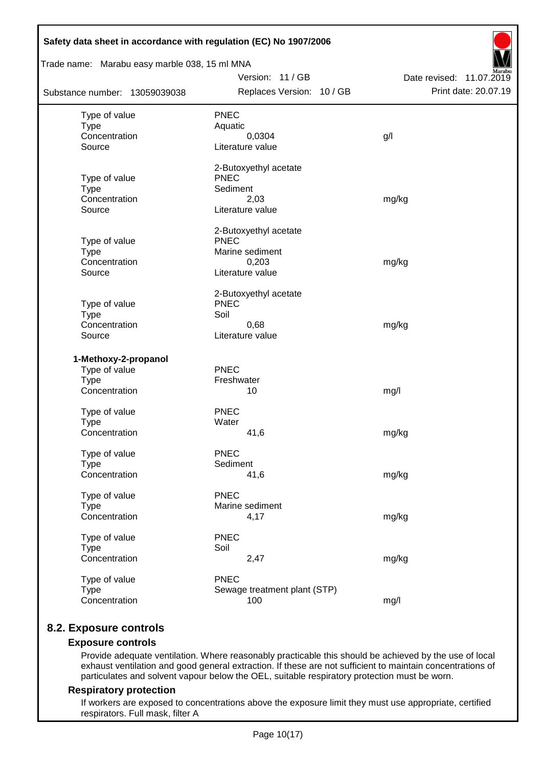| Safety data sheet in accordance with regulation (EC) No 1907/2006<br>Trade name: Marabu easy marble 038, 15 ml MNA |                                      |                          |
|--------------------------------------------------------------------------------------------------------------------|--------------------------------------|--------------------------|
|                                                                                                                    | Version: 11 / GB                     | Date revised: 11.07.2019 |
| Substance number: 13059039038                                                                                      | Replaces Version: 10 / GB            | Print date: 20.07.19     |
| Type of value                                                                                                      | <b>PNEC</b>                          |                          |
| <b>Type</b>                                                                                                        | Aquatic                              |                          |
| Concentration                                                                                                      | 0,0304                               | g/                       |
| Source                                                                                                             | Literature value                     |                          |
|                                                                                                                    | 2-Butoxyethyl acetate<br><b>PNEC</b> |                          |
| Type of value<br><b>Type</b>                                                                                       | Sediment                             |                          |
| Concentration                                                                                                      | 2,03                                 | mg/kg                    |
| Source                                                                                                             | Literature value                     |                          |
|                                                                                                                    | 2-Butoxyethyl acetate                |                          |
| Type of value                                                                                                      | <b>PNEC</b>                          |                          |
| <b>Type</b>                                                                                                        | Marine sediment                      |                          |
| Concentration<br>Source                                                                                            | 0,203<br>Literature value            | mg/kg                    |
|                                                                                                                    |                                      |                          |
|                                                                                                                    | 2-Butoxyethyl acetate<br><b>PNEC</b> |                          |
| Type of value<br><b>Type</b>                                                                                       | Soil                                 |                          |
| Concentration                                                                                                      | 0,68                                 | mg/kg                    |
| Source                                                                                                             | Literature value                     |                          |
| 1-Methoxy-2-propanol                                                                                               |                                      |                          |
| Type of value                                                                                                      | <b>PNEC</b>                          |                          |
| <b>Type</b>                                                                                                        | Freshwater                           |                          |
| Concentration                                                                                                      | 10                                   | mg/l                     |
| Type of value                                                                                                      | <b>PNEC</b>                          |                          |
| <b>Type</b>                                                                                                        | Water                                |                          |
| Concentration                                                                                                      | 41,6                                 | mg/kg                    |
| Type of value                                                                                                      | <b>PNEC</b>                          |                          |
| <b>Type</b>                                                                                                        | Sediment                             |                          |
| Concentration                                                                                                      | 41,6                                 | mg/kg                    |
| Type of value                                                                                                      | <b>PNEC</b>                          |                          |
| <b>Type</b>                                                                                                        | Marine sediment                      |                          |
| Concentration                                                                                                      | 4,17                                 | mg/kg                    |
| Type of value                                                                                                      | <b>PNEC</b>                          |                          |
| <b>Type</b>                                                                                                        | Soil                                 |                          |
| Concentration                                                                                                      | 2,47                                 | mg/kg                    |
| Type of value                                                                                                      | <b>PNEC</b>                          |                          |
| <b>Type</b>                                                                                                        | Sewage treatment plant (STP)         |                          |
| Concentration                                                                                                      | 100                                  | mg/l                     |

## **8.2. Exposure controls**

### **Exposure controls**

Provide adequate ventilation. Where reasonably practicable this should be achieved by the use of local exhaust ventilation and good general extraction. If these are not sufficient to maintain concentrations of particulates and solvent vapour below the OEL, suitable respiratory protection must be worn.

#### **Respiratory protection**

If workers are exposed to concentrations above the exposure limit they must use appropriate, certified respirators. Full mask, filter A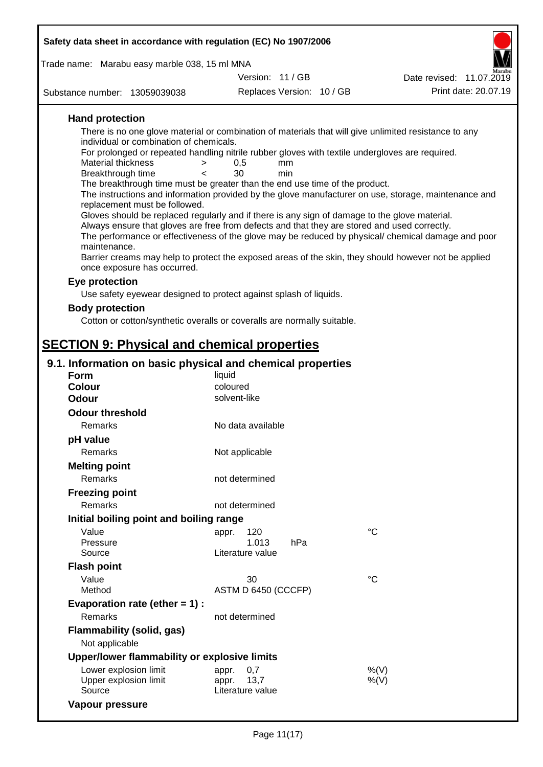| Safety data sheet in accordance with regulation (EC) No 1907/2006                                                                                                                                                                                                                                                                                                                                                                                                                                                                                                                                                                                                                                                                                                                                                                                                                                                                                                                                                   |                                   |           |  |                                                                                                                                                                                                            |  |  |
|---------------------------------------------------------------------------------------------------------------------------------------------------------------------------------------------------------------------------------------------------------------------------------------------------------------------------------------------------------------------------------------------------------------------------------------------------------------------------------------------------------------------------------------------------------------------------------------------------------------------------------------------------------------------------------------------------------------------------------------------------------------------------------------------------------------------------------------------------------------------------------------------------------------------------------------------------------------------------------------------------------------------|-----------------------------------|-----------|--|------------------------------------------------------------------------------------------------------------------------------------------------------------------------------------------------------------|--|--|
| Trade name: Marabu easy marble 038, 15 ml MNA                                                                                                                                                                                                                                                                                                                                                                                                                                                                                                                                                                                                                                                                                                                                                                                                                                                                                                                                                                       |                                   |           |  |                                                                                                                                                                                                            |  |  |
|                                                                                                                                                                                                                                                                                                                                                                                                                                                                                                                                                                                                                                                                                                                                                                                                                                                                                                                                                                                                                     | Version: 11 / GB                  |           |  | Date revised: 11.07.2019                                                                                                                                                                                   |  |  |
| Substance number: 13059039038                                                                                                                                                                                                                                                                                                                                                                                                                                                                                                                                                                                                                                                                                                                                                                                                                                                                                                                                                                                       | Replaces Version: 10 / GB         |           |  | Print date: 20.07.19                                                                                                                                                                                       |  |  |
| <b>Hand protection</b><br>There is no one glove material or combination of materials that will give unlimited resistance to any<br>individual or combination of chemicals.<br>For prolonged or repeated handling nitrile rubber gloves with textile undergloves are required.<br>Material thickness<br>$\,>$<br>Breakthrough time<br>$\epsilon$<br>The breakthrough time must be greater than the end use time of the product.<br>replacement must be followed.<br>Gloves should be replaced regularly and if there is any sign of damage to the glove material.<br>Always ensure that gloves are free from defects and that they are stored and used correctly.<br>maintenance.<br>Barrier creams may help to protect the exposed areas of the skin, they should however not be applied<br>once exposure has occurred.<br>Eye protection<br>Use safety eyewear designed to protect against splash of liquids.<br><b>Body protection</b><br>Cotton or cotton/synthetic overalls or coveralls are normally suitable. | 0,5<br>30                         | mm<br>min |  | The instructions and information provided by the glove manufacturer on use, storage, maintenance and<br>The performance or effectiveness of the glove may be reduced by physical/ chemical damage and poor |  |  |
|                                                                                                                                                                                                                                                                                                                                                                                                                                                                                                                                                                                                                                                                                                                                                                                                                                                                                                                                                                                                                     |                                   |           |  |                                                                                                                                                                                                            |  |  |
| <b>SECTION 9: Physical and chemical properties</b>                                                                                                                                                                                                                                                                                                                                                                                                                                                                                                                                                                                                                                                                                                                                                                                                                                                                                                                                                                  |                                   |           |  |                                                                                                                                                                                                            |  |  |
| 9.1. Information on basic physical and chemical properties                                                                                                                                                                                                                                                                                                                                                                                                                                                                                                                                                                                                                                                                                                                                                                                                                                                                                                                                                          |                                   |           |  |                                                                                                                                                                                                            |  |  |
| <b>Form</b><br><b>Colour</b>                                                                                                                                                                                                                                                                                                                                                                                                                                                                                                                                                                                                                                                                                                                                                                                                                                                                                                                                                                                        | liquid<br>coloured                |           |  |                                                                                                                                                                                                            |  |  |
| <b>Odour</b>                                                                                                                                                                                                                                                                                                                                                                                                                                                                                                                                                                                                                                                                                                                                                                                                                                                                                                                                                                                                        | solvent-like                      |           |  |                                                                                                                                                                                                            |  |  |
| <b>Odour threshold</b>                                                                                                                                                                                                                                                                                                                                                                                                                                                                                                                                                                                                                                                                                                                                                                                                                                                                                                                                                                                              |                                   |           |  |                                                                                                                                                                                                            |  |  |
| Remarks                                                                                                                                                                                                                                                                                                                                                                                                                                                                                                                                                                                                                                                                                                                                                                                                                                                                                                                                                                                                             | No data available                 |           |  |                                                                                                                                                                                                            |  |  |
| pH value                                                                                                                                                                                                                                                                                                                                                                                                                                                                                                                                                                                                                                                                                                                                                                                                                                                                                                                                                                                                            |                                   |           |  |                                                                                                                                                                                                            |  |  |
| Remarks                                                                                                                                                                                                                                                                                                                                                                                                                                                                                                                                                                                                                                                                                                                                                                                                                                                                                                                                                                                                             | Not applicable                    |           |  |                                                                                                                                                                                                            |  |  |
| <b>Melting point</b>                                                                                                                                                                                                                                                                                                                                                                                                                                                                                                                                                                                                                                                                                                                                                                                                                                                                                                                                                                                                |                                   |           |  |                                                                                                                                                                                                            |  |  |
| Remarks                                                                                                                                                                                                                                                                                                                                                                                                                                                                                                                                                                                                                                                                                                                                                                                                                                                                                                                                                                                                             | not determined                    |           |  |                                                                                                                                                                                                            |  |  |
| <b>Freezing point</b>                                                                                                                                                                                                                                                                                                                                                                                                                                                                                                                                                                                                                                                                                                                                                                                                                                                                                                                                                                                               |                                   |           |  |                                                                                                                                                                                                            |  |  |
| Remarks                                                                                                                                                                                                                                                                                                                                                                                                                                                                                                                                                                                                                                                                                                                                                                                                                                                                                                                                                                                                             | not determined                    |           |  |                                                                                                                                                                                                            |  |  |
|                                                                                                                                                                                                                                                                                                                                                                                                                                                                                                                                                                                                                                                                                                                                                                                                                                                                                                                                                                                                                     |                                   |           |  |                                                                                                                                                                                                            |  |  |
| Initial boiling point and boiling range                                                                                                                                                                                                                                                                                                                                                                                                                                                                                                                                                                                                                                                                                                                                                                                                                                                                                                                                                                             |                                   |           |  |                                                                                                                                                                                                            |  |  |
| Value<br>Pressure                                                                                                                                                                                                                                                                                                                                                                                                                                                                                                                                                                                                                                                                                                                                                                                                                                                                                                                                                                                                   | 120<br>appr.<br>1.013             | hPa       |  | $^{\circ}C$                                                                                                                                                                                                |  |  |
| Source                                                                                                                                                                                                                                                                                                                                                                                                                                                                                                                                                                                                                                                                                                                                                                                                                                                                                                                                                                                                              | Literature value                  |           |  |                                                                                                                                                                                                            |  |  |
| <b>Flash point</b>                                                                                                                                                                                                                                                                                                                                                                                                                                                                                                                                                                                                                                                                                                                                                                                                                                                                                                                                                                                                  |                                   |           |  |                                                                                                                                                                                                            |  |  |
| Value                                                                                                                                                                                                                                                                                                                                                                                                                                                                                                                                                                                                                                                                                                                                                                                                                                                                                                                                                                                                               | 30                                |           |  | $^{\circ}C$                                                                                                                                                                                                |  |  |
| Method                                                                                                                                                                                                                                                                                                                                                                                                                                                                                                                                                                                                                                                                                                                                                                                                                                                                                                                                                                                                              | ASTM D 6450 (CCCFP)               |           |  |                                                                                                                                                                                                            |  |  |
| Evaporation rate (ether $= 1$ ) :                                                                                                                                                                                                                                                                                                                                                                                                                                                                                                                                                                                                                                                                                                                                                                                                                                                                                                                                                                                   |                                   |           |  |                                                                                                                                                                                                            |  |  |
| Remarks                                                                                                                                                                                                                                                                                                                                                                                                                                                                                                                                                                                                                                                                                                                                                                                                                                                                                                                                                                                                             | not determined                    |           |  |                                                                                                                                                                                                            |  |  |
| Flammability (solid, gas)                                                                                                                                                                                                                                                                                                                                                                                                                                                                                                                                                                                                                                                                                                                                                                                                                                                                                                                                                                                           |                                   |           |  |                                                                                                                                                                                                            |  |  |
| Not applicable                                                                                                                                                                                                                                                                                                                                                                                                                                                                                                                                                                                                                                                                                                                                                                                                                                                                                                                                                                                                      |                                   |           |  |                                                                                                                                                                                                            |  |  |
| Upper/lower flammability or explosive limits                                                                                                                                                                                                                                                                                                                                                                                                                                                                                                                                                                                                                                                                                                                                                                                                                                                                                                                                                                        |                                   |           |  |                                                                                                                                                                                                            |  |  |
| Lower explosion limit                                                                                                                                                                                                                                                                                                                                                                                                                                                                                                                                                                                                                                                                                                                                                                                                                                                                                                                                                                                               | 0,7<br>appr.                      |           |  | %(V)                                                                                                                                                                                                       |  |  |
| Upper explosion limit<br>Source                                                                                                                                                                                                                                                                                                                                                                                                                                                                                                                                                                                                                                                                                                                                                                                                                                                                                                                                                                                     | appr.<br>13,7<br>Literature value |           |  | $%$ (V)                                                                                                                                                                                                    |  |  |

**Vapour pressure**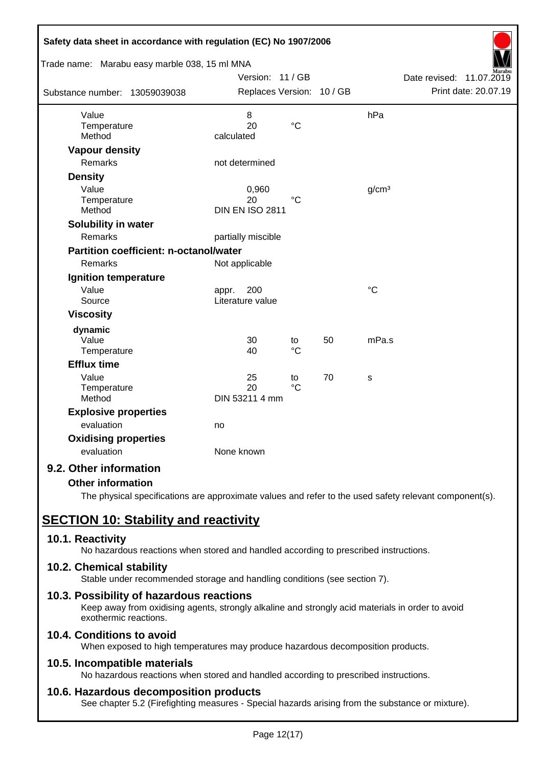| Safety data sheet in accordance with regulation (EC) No 1907/2006 |                           |                 |    |                   |                             |
|-------------------------------------------------------------------|---------------------------|-----------------|----|-------------------|-----------------------------|
| Trade name: Marabu easy marble 038, 15 ml MNA                     |                           |                 |    |                   |                             |
|                                                                   | Version: 11 / GB          |                 |    |                   | Date revised:<br>11.07.2019 |
| Substance number: 13059039038                                     | Replaces Version: 10 / GB |                 |    |                   | Print date: 20.07.19        |
| Value                                                             | 8                         |                 |    | hPa               |                             |
| Temperature                                                       | 20                        | $\rm ^{\circ}C$ |    |                   |                             |
| Method                                                            | calculated                |                 |    |                   |                             |
| <b>Vapour density</b>                                             |                           |                 |    |                   |                             |
| <b>Remarks</b>                                                    | not determined            |                 |    |                   |                             |
| <b>Density</b>                                                    |                           |                 |    |                   |                             |
| Value                                                             | 0,960                     |                 |    | g/cm <sup>3</sup> |                             |
| Temperature                                                       | 20                        | $^{\circ}C$     |    |                   |                             |
| Method                                                            | <b>DIN EN ISO 2811</b>    |                 |    |                   |                             |
| Solubility in water                                               |                           |                 |    |                   |                             |
| Remarks                                                           | partially miscible        |                 |    |                   |                             |
| <b>Partition coefficient: n-octanol/water</b>                     |                           |                 |    |                   |                             |
| Remarks                                                           | Not applicable            |                 |    |                   |                             |
| Ignition temperature                                              |                           |                 |    |                   |                             |
| Value                                                             | 200<br>appr.              |                 |    | $\rm ^{\circ}C$   |                             |
| Source                                                            | Literature value          |                 |    |                   |                             |
| <b>Viscosity</b>                                                  |                           |                 |    |                   |                             |
| dynamic                                                           |                           |                 |    |                   |                             |
| Value                                                             | 30                        | to              | 50 | mPa.s             |                             |
| Temperature                                                       | 40                        | $\rm ^{\circ}C$ |    |                   |                             |
| <b>Efflux time</b>                                                |                           |                 |    |                   |                             |
| Value                                                             | 25                        | to              | 70 | S                 |                             |
| Temperature<br>Method                                             | 20                        | $\rm ^{\circ}C$ |    |                   |                             |
|                                                                   | DIN 53211 4 mm            |                 |    |                   |                             |
| <b>Explosive properties</b>                                       |                           |                 |    |                   |                             |
| evaluation                                                        | no                        |                 |    |                   |                             |
| <b>Oxidising properties</b>                                       |                           |                 |    |                   |                             |
| evaluation                                                        | None known                |                 |    |                   |                             |
| 9.2. Other information                                            |                           |                 |    |                   |                             |

### **Other information**

The physical specifications are approximate values and refer to the used safety relevant component(s).

# **SECTION 10: Stability and reactivity**

### **10.1. Reactivity**

No hazardous reactions when stored and handled according to prescribed instructions.

### **10.2. Chemical stability**

Stable under recommended storage and handling conditions (see section 7).

### **10.3. Possibility of hazardous reactions**

Keep away from oxidising agents, strongly alkaline and strongly acid materials in order to avoid exothermic reactions.

## **10.4. Conditions to avoid**

When exposed to high temperatures may produce hazardous decomposition products.

### **10.5. Incompatible materials**

No hazardous reactions when stored and handled according to prescribed instructions.

### **10.6. Hazardous decomposition products**

See chapter 5.2 (Firefighting measures - Special hazards arising from the substance or mixture).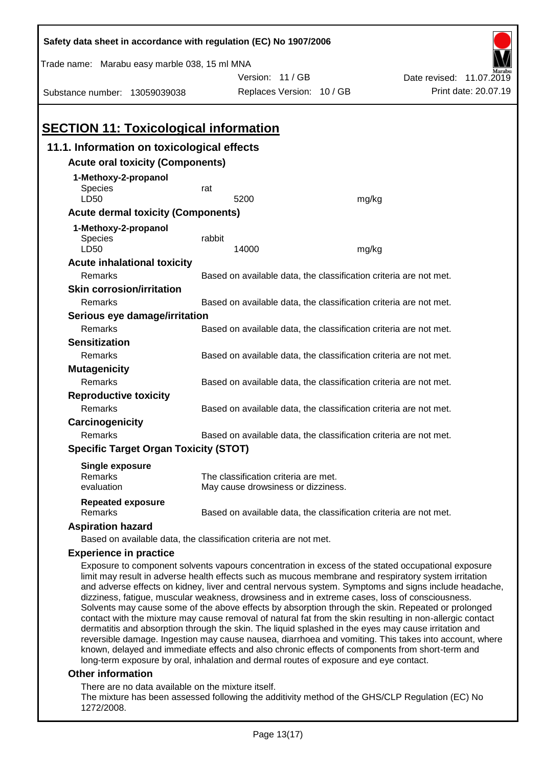| Safety data sheet in accordance with regulation (EC) No 1907/2006                                                                                                                                                                                                                                              |                                                                              |                                                                            |  |       |                                                                                                                                                                                                                                                                                                                                                                                                                                |  |
|----------------------------------------------------------------------------------------------------------------------------------------------------------------------------------------------------------------------------------------------------------------------------------------------------------------|------------------------------------------------------------------------------|----------------------------------------------------------------------------|--|-------|--------------------------------------------------------------------------------------------------------------------------------------------------------------------------------------------------------------------------------------------------------------------------------------------------------------------------------------------------------------------------------------------------------------------------------|--|
| Trade name: Marabu easy marble 038, 15 ml MNA                                                                                                                                                                                                                                                                  |                                                                              |                                                                            |  |       |                                                                                                                                                                                                                                                                                                                                                                                                                                |  |
|                                                                                                                                                                                                                                                                                                                |                                                                              | Version: 11/GB                                                             |  |       | Date revised: 11.07.2019                                                                                                                                                                                                                                                                                                                                                                                                       |  |
| Substance number: 13059039038                                                                                                                                                                                                                                                                                  |                                                                              | Replaces Version: 10 / GB                                                  |  |       | Print date: 20.07.19                                                                                                                                                                                                                                                                                                                                                                                                           |  |
|                                                                                                                                                                                                                                                                                                                |                                                                              |                                                                            |  |       |                                                                                                                                                                                                                                                                                                                                                                                                                                |  |
| <b>SECTION 11: Toxicological information</b>                                                                                                                                                                                                                                                                   |                                                                              |                                                                            |  |       |                                                                                                                                                                                                                                                                                                                                                                                                                                |  |
| 11.1. Information on toxicological effects                                                                                                                                                                                                                                                                     |                                                                              |                                                                            |  |       |                                                                                                                                                                                                                                                                                                                                                                                                                                |  |
| <b>Acute oral toxicity (Components)</b>                                                                                                                                                                                                                                                                        |                                                                              |                                                                            |  |       |                                                                                                                                                                                                                                                                                                                                                                                                                                |  |
| 1-Methoxy-2-propanol                                                                                                                                                                                                                                                                                           |                                                                              |                                                                            |  |       |                                                                                                                                                                                                                                                                                                                                                                                                                                |  |
| Species                                                                                                                                                                                                                                                                                                        | rat                                                                          |                                                                            |  |       |                                                                                                                                                                                                                                                                                                                                                                                                                                |  |
| LD50                                                                                                                                                                                                                                                                                                           |                                                                              | 5200                                                                       |  | mg/kg |                                                                                                                                                                                                                                                                                                                                                                                                                                |  |
| <b>Acute dermal toxicity (Components)</b>                                                                                                                                                                                                                                                                      |                                                                              |                                                                            |  |       |                                                                                                                                                                                                                                                                                                                                                                                                                                |  |
| 1-Methoxy-2-propanol                                                                                                                                                                                                                                                                                           |                                                                              |                                                                            |  |       |                                                                                                                                                                                                                                                                                                                                                                                                                                |  |
| Species<br>LD50                                                                                                                                                                                                                                                                                                | rabbit                                                                       | 14000                                                                      |  | mg/kg |                                                                                                                                                                                                                                                                                                                                                                                                                                |  |
| <b>Acute inhalational toxicity</b>                                                                                                                                                                                                                                                                             |                                                                              |                                                                            |  |       |                                                                                                                                                                                                                                                                                                                                                                                                                                |  |
| <b>Remarks</b>                                                                                                                                                                                                                                                                                                 |                                                                              |                                                                            |  |       | Based on available data, the classification criteria are not met.                                                                                                                                                                                                                                                                                                                                                              |  |
| <b>Skin corrosion/irritation</b>                                                                                                                                                                                                                                                                               |                                                                              |                                                                            |  |       |                                                                                                                                                                                                                                                                                                                                                                                                                                |  |
| Remarks                                                                                                                                                                                                                                                                                                        |                                                                              |                                                                            |  |       | Based on available data, the classification criteria are not met.                                                                                                                                                                                                                                                                                                                                                              |  |
| Serious eye damage/irritation                                                                                                                                                                                                                                                                                  |                                                                              |                                                                            |  |       |                                                                                                                                                                                                                                                                                                                                                                                                                                |  |
| Remarks                                                                                                                                                                                                                                                                                                        | Based on available data, the classification criteria are not met.            |                                                                            |  |       |                                                                                                                                                                                                                                                                                                                                                                                                                                |  |
| <b>Sensitization</b>                                                                                                                                                                                                                                                                                           |                                                                              |                                                                            |  |       |                                                                                                                                                                                                                                                                                                                                                                                                                                |  |
| Remarks                                                                                                                                                                                                                                                                                                        | Based on available data, the classification criteria are not met.            |                                                                            |  |       |                                                                                                                                                                                                                                                                                                                                                                                                                                |  |
| <b>Mutagenicity</b>                                                                                                                                                                                                                                                                                            |                                                                              |                                                                            |  |       |                                                                                                                                                                                                                                                                                                                                                                                                                                |  |
| Remarks                                                                                                                                                                                                                                                                                                        |                                                                              |                                                                            |  |       | Based on available data, the classification criteria are not met.                                                                                                                                                                                                                                                                                                                                                              |  |
| <b>Reproductive toxicity</b>                                                                                                                                                                                                                                                                                   |                                                                              |                                                                            |  |       |                                                                                                                                                                                                                                                                                                                                                                                                                                |  |
| Remarks                                                                                                                                                                                                                                                                                                        |                                                                              |                                                                            |  |       | Based on available data, the classification criteria are not met.                                                                                                                                                                                                                                                                                                                                                              |  |
| Carcinogenicity                                                                                                                                                                                                                                                                                                |                                                                              |                                                                            |  |       |                                                                                                                                                                                                                                                                                                                                                                                                                                |  |
|                                                                                                                                                                                                                                                                                                                | Based on available data, the classification criteria are not met.<br>Remarks |                                                                            |  |       |                                                                                                                                                                                                                                                                                                                                                                                                                                |  |
| <b>Specific Target Organ Toxicity (STOT)</b>                                                                                                                                                                                                                                                                   |                                                                              |                                                                            |  |       |                                                                                                                                                                                                                                                                                                                                                                                                                                |  |
| <b>Single exposure</b>                                                                                                                                                                                                                                                                                         |                                                                              |                                                                            |  |       |                                                                                                                                                                                                                                                                                                                                                                                                                                |  |
| Remarks<br>evaluation                                                                                                                                                                                                                                                                                          |                                                                              | The classification criteria are met.<br>May cause drowsiness or dizziness. |  |       |                                                                                                                                                                                                                                                                                                                                                                                                                                |  |
| <b>Repeated exposure</b>                                                                                                                                                                                                                                                                                       |                                                                              |                                                                            |  |       |                                                                                                                                                                                                                                                                                                                                                                                                                                |  |
| Remarks                                                                                                                                                                                                                                                                                                        |                                                                              |                                                                            |  |       | Based on available data, the classification criteria are not met.                                                                                                                                                                                                                                                                                                                                                              |  |
| <b>Aspiration hazard</b>                                                                                                                                                                                                                                                                                       |                                                                              |                                                                            |  |       |                                                                                                                                                                                                                                                                                                                                                                                                                                |  |
| Based on available data, the classification criteria are not met.                                                                                                                                                                                                                                              |                                                                              |                                                                            |  |       |                                                                                                                                                                                                                                                                                                                                                                                                                                |  |
| <b>Experience in practice</b>                                                                                                                                                                                                                                                                                  |                                                                              |                                                                            |  |       |                                                                                                                                                                                                                                                                                                                                                                                                                                |  |
| limit may result in adverse health effects such as mucous membrane and respiratory system irritation<br>dizziness, fatigue, muscular weakness, drowsiness and in extreme cases, loss of consciousness.<br>dermatitis and absorption through the skin. The liquid splashed in the eyes may cause irritation and |                                                                              |                                                                            |  |       | Exposure to component solvents vapours concentration in excess of the stated occupational exposure<br>and adverse effects on kidney, liver and central nervous system. Symptoms and signs include headache,<br>Solvents may cause some of the above effects by absorption through the skin. Repeated or prolonged<br>contact with the mixture may cause removal of natural fat from the skin resulting in non-allergic contact |  |
|                                                                                                                                                                                                                                                                                                                |                                                                              |                                                                            |  |       | reversible damage. Ingestion may cause nausea, diarrhoea and vomiting. This takes into account, where                                                                                                                                                                                                                                                                                                                          |  |

### long-term exposure by oral, inhalation and dermal routes of exposure and eye contact. **Other information**

There are no data available on the mixture itself.

The mixture has been assessed following the additivity method of the GHS/CLP Regulation (EC) No 1272/2008.

known, delayed and immediate effects and also chronic effects of components from short-term and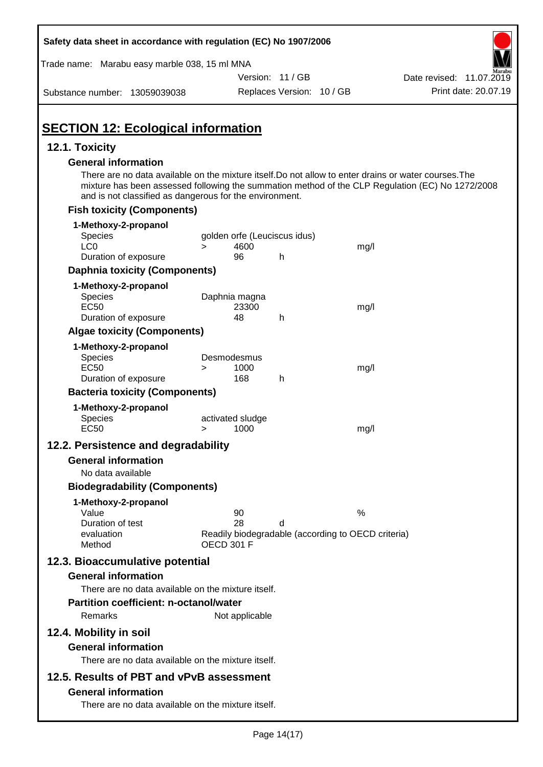| Safety data sheet in accordance with regulation (EC) No 1907/2006                                                                                                                                                                                                                                  |                                    |                           |                                                    |                          |
|----------------------------------------------------------------------------------------------------------------------------------------------------------------------------------------------------------------------------------------------------------------------------------------------------|------------------------------------|---------------------------|----------------------------------------------------|--------------------------|
| Trade name: Marabu easy marble 038, 15 ml MNA                                                                                                                                                                                                                                                      |                                    |                           |                                                    |                          |
|                                                                                                                                                                                                                                                                                                    |                                    | Version: 11 / GB          |                                                    | Date revised: 11.07.2019 |
| Substance number: 13059039038                                                                                                                                                                                                                                                                      |                                    | Replaces Version: 10 / GB |                                                    | Print date: 20.07.19     |
| <b>SECTION 12: Ecological information</b>                                                                                                                                                                                                                                                          |                                    |                           |                                                    |                          |
| 12.1. Toxicity                                                                                                                                                                                                                                                                                     |                                    |                           |                                                    |                          |
| <b>General information</b><br>There are no data available on the mixture itself. Do not allow to enter drains or water courses. The<br>mixture has been assessed following the summation method of the CLP Regulation (EC) No 1272/2008<br>and is not classified as dangerous for the environment. |                                    |                           |                                                    |                          |
| <b>Fish toxicity (Components)</b>                                                                                                                                                                                                                                                                  |                                    |                           |                                                    |                          |
| 1-Methoxy-2-propanol                                                                                                                                                                                                                                                                               |                                    |                           |                                                    |                          |
| <b>Species</b>                                                                                                                                                                                                                                                                                     | golden orfe (Leuciscus idus)       |                           |                                                    |                          |
| LC <sub>0</sub><br>Duration of exposure                                                                                                                                                                                                                                                            | 4600<br>$\geq$<br>96               | h                         | mg/l                                               |                          |
| <b>Daphnia toxicity (Components)</b>                                                                                                                                                                                                                                                               |                                    |                           |                                                    |                          |
| 1-Methoxy-2-propanol                                                                                                                                                                                                                                                                               |                                    |                           |                                                    |                          |
| <b>Species</b>                                                                                                                                                                                                                                                                                     | Daphnia magna                      |                           |                                                    |                          |
| <b>EC50</b>                                                                                                                                                                                                                                                                                        | 23300                              |                           | mg/l                                               |                          |
| Duration of exposure                                                                                                                                                                                                                                                                               | 48                                 | h                         |                                                    |                          |
| <b>Algae toxicity (Components)</b>                                                                                                                                                                                                                                                                 |                                    |                           |                                                    |                          |
| 1-Methoxy-2-propanol<br>Species<br><b>EC50</b>                                                                                                                                                                                                                                                     | Desmodesmus<br>1000<br>$\geq$      |                           | mg/l                                               |                          |
| Duration of exposure                                                                                                                                                                                                                                                                               | 168                                | h                         |                                                    |                          |
| <b>Bacteria toxicity (Components)</b>                                                                                                                                                                                                                                                              |                                    |                           |                                                    |                          |
| 1-Methoxy-2-propanol<br><b>Species</b><br><b>EC50</b>                                                                                                                                                                                                                                              | activated sludge<br>1000<br>$\geq$ |                           | mg/l                                               |                          |
| 12.2. Persistence and degradability                                                                                                                                                                                                                                                                |                                    |                           |                                                    |                          |
| <b>General information</b>                                                                                                                                                                                                                                                                         |                                    |                           |                                                    |                          |
| No data available                                                                                                                                                                                                                                                                                  |                                    |                           |                                                    |                          |
| <b>Biodegradability (Components)</b>                                                                                                                                                                                                                                                               |                                    |                           |                                                    |                          |
| 1-Methoxy-2-propanol                                                                                                                                                                                                                                                                               |                                    |                           |                                                    |                          |
| Value<br>Duration of test                                                                                                                                                                                                                                                                          | 90<br>28                           |                           | %                                                  |                          |
| evaluation<br>Method                                                                                                                                                                                                                                                                               | <b>OECD 301 F</b>                  | d                         | Readily biodegradable (according to OECD criteria) |                          |
| 12.3. Bioaccumulative potential                                                                                                                                                                                                                                                                    |                                    |                           |                                                    |                          |
| <b>General information</b>                                                                                                                                                                                                                                                                         |                                    |                           |                                                    |                          |
| There are no data available on the mixture itself.<br>Partition coefficient: n-octanol/water<br>Remarks                                                                                                                                                                                            | Not applicable                     |                           |                                                    |                          |
| 12.4. Mobility in soil<br><b>General information</b><br>There are no data available on the mixture itself.                                                                                                                                                                                         |                                    |                           |                                                    |                          |
| 12.5. Results of PBT and vPvB assessment                                                                                                                                                                                                                                                           |                                    |                           |                                                    |                          |
| <b>General information</b><br>There are no data available on the mixture itself.                                                                                                                                                                                                                   |                                    |                           |                                                    |                          |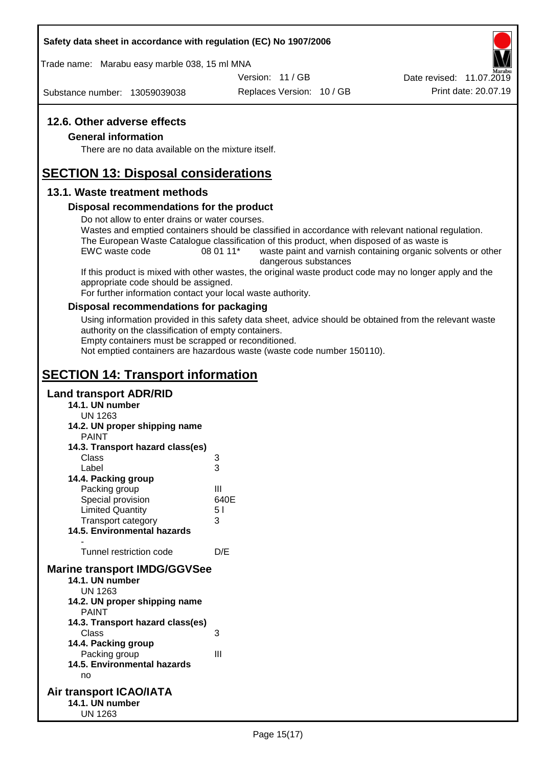### **Safety data sheet in accordance with regulation (EC) No 1907/2006**

Trade name: Marabu easy marble 038, 15 ml MNA

Version: 11 / GB

Substance number: 13059039038

Replaces Version: 10 / GB Print date: 20.07.19 Date revised: 11.07.2019

### **12.6. Other adverse effects**

### **General information**

There are no data available on the mixture itself.

## **SECTION 13: Disposal considerations**

### **13.1. Waste treatment methods**

### **Disposal recommendations for the product**

Do not allow to enter drains or water courses.

Wastes and emptied containers should be classified in accordance with relevant national regulation. The European Waste Catalogue classification of this product, when disposed of as waste is

EWC waste code 08 01 11<sup>\*</sup> waste paint and varnish containing organic solvents or other dangerous substances

If this product is mixed with other wastes, the original waste product code may no longer apply and the appropriate code should be assigned.

For further information contact your local waste authority.

### **Disposal recommendations for packaging**

Using information provided in this safety data sheet, advice should be obtained from the relevant waste authority on the classification of empty containers.

Empty containers must be scrapped or reconditioned.

Not emptied containers are hazardous waste (waste code number 150110).

# **SECTION 14: Transport information**

### **Land transport ADR/RID**

- **14.1. UN number**
	- UN 1263
- **14.2. UN proper shipping name**
	- PAINT

| PAINT                               |                |
|-------------------------------------|----------------|
| 14.3. Transport hazard class(es)    |                |
| Class                               | 3              |
| Label                               | 3              |
| 14.4. Packing group                 |                |
| Packing group                       | Ш              |
| Special provision                   | 640E           |
| <b>Limited Quantity</b>             | 5 <sub>1</sub> |
| <b>Transport category</b>           | 3              |
| 14.5. Environmental hazards         |                |
|                                     |                |
| Tunnel restriction code             | D/E            |
| <b>Marine transport IMDG/GGVSee</b> |                |
| 14.1. UN number                     |                |
| UN 1263                             |                |
| 14.2. UN proper shipping name       |                |
| <b>PAINT</b>                        |                |
| 14.3. Transport hazard class(es)    |                |
| Class                               | 3              |
| 14.4. Packing group                 |                |
| Packing group                       | Ш              |
| 14.5. Environmental hazards         |                |

no

#### **Air transport ICAO/IATA 14.1. UN number** UN 1263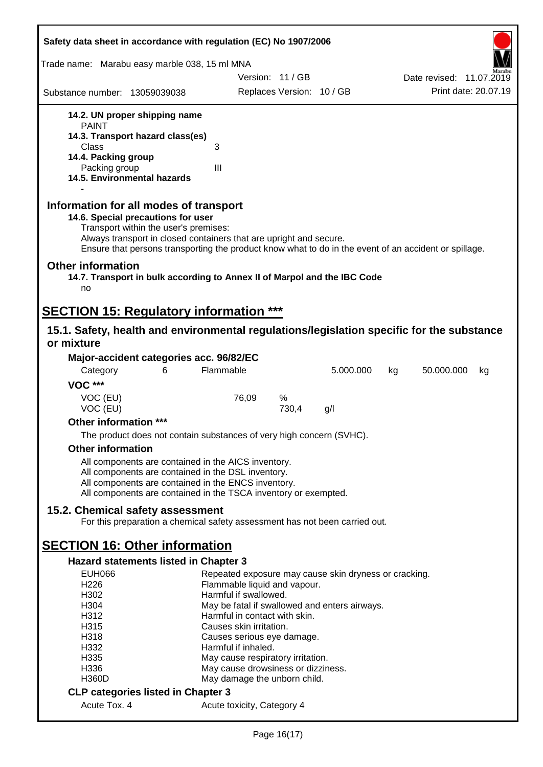| Safety data sheet in accordance with regulation (EC) No 1907/2006                                                                                                                                                                                                                                    |                                                                                       |                           |           |    |                          |
|------------------------------------------------------------------------------------------------------------------------------------------------------------------------------------------------------------------------------------------------------------------------------------------------------|---------------------------------------------------------------------------------------|---------------------------|-----------|----|--------------------------|
| Trade name: Marabu easy marble 038, 15 ml MNA                                                                                                                                                                                                                                                        |                                                                                       |                           |           |    |                          |
|                                                                                                                                                                                                                                                                                                      |                                                                                       | Version: 11/GB            |           |    | Date revised: 11.07.2019 |
| Substance number: 13059039038                                                                                                                                                                                                                                                                        |                                                                                       | Replaces Version: 10 / GB |           |    | Print date: 20.07.19     |
| 14.2. UN proper shipping name                                                                                                                                                                                                                                                                        |                                                                                       |                           |           |    |                          |
| <b>PAINT</b>                                                                                                                                                                                                                                                                                         |                                                                                       |                           |           |    |                          |
| 14.3. Transport hazard class(es)                                                                                                                                                                                                                                                                     |                                                                                       |                           |           |    |                          |
| Class<br>14.4. Packing group                                                                                                                                                                                                                                                                         | 3                                                                                     |                           |           |    |                          |
| Packing group                                                                                                                                                                                                                                                                                        | III                                                                                   |                           |           |    |                          |
| 14.5. Environmental hazards                                                                                                                                                                                                                                                                          |                                                                                       |                           |           |    |                          |
| Information for all modes of transport<br>14.6. Special precautions for user<br>Transport within the user's premises:<br>Always transport in closed containers that are upright and secure.<br>Ensure that persons transporting the product know what to do in the event of an accident or spillage. |                                                                                       |                           |           |    |                          |
| <b>Other information</b><br>14.7. Transport in bulk according to Annex II of Marpol and the IBC Code<br>no                                                                                                                                                                                           |                                                                                       |                           |           |    |                          |
| <b>SECTION 15: Regulatory information ***</b>                                                                                                                                                                                                                                                        |                                                                                       |                           |           |    |                          |
| 15.1. Safety, health and environmental regulations/legislation specific for the substance                                                                                                                                                                                                            |                                                                                       |                           |           |    |                          |
| or mixture                                                                                                                                                                                                                                                                                           |                                                                                       |                           |           |    |                          |
| Major-accident categories acc. 96/82/EC                                                                                                                                                                                                                                                              |                                                                                       |                           |           |    |                          |
| Category<br>6                                                                                                                                                                                                                                                                                        | Flammable                                                                             |                           | 5.000.000 | kg | 50.000.000<br>kg         |
| <b>VOC ***</b>                                                                                                                                                                                                                                                                                       |                                                                                       |                           |           |    |                          |
| VOC (EU)                                                                                                                                                                                                                                                                                             | 76,09                                                                                 | %                         |           |    |                          |
| VOC (EU)                                                                                                                                                                                                                                                                                             |                                                                                       | 730,4                     | g/l       |    |                          |
| Other information ***                                                                                                                                                                                                                                                                                |                                                                                       |                           |           |    |                          |
| The product does not contain substances of very high concern (SVHC).                                                                                                                                                                                                                                 |                                                                                       |                           |           |    |                          |
| <b>Other information</b>                                                                                                                                                                                                                                                                             |                                                                                       |                           |           |    |                          |
| All components are contained in the AICS inventory.                                                                                                                                                                                                                                                  |                                                                                       |                           |           |    |                          |
| All components are contained in the DSL inventory.                                                                                                                                                                                                                                                   |                                                                                       |                           |           |    |                          |
| All components are contained in the ENCS inventory.                                                                                                                                                                                                                                                  |                                                                                       |                           |           |    |                          |
| All components are contained in the TSCA inventory or exempted.                                                                                                                                                                                                                                      |                                                                                       |                           |           |    |                          |
| 15.2. Chemical safety assessment                                                                                                                                                                                                                                                                     |                                                                                       |                           |           |    |                          |
| For this preparation a chemical safety assessment has not been carried out.                                                                                                                                                                                                                          |                                                                                       |                           |           |    |                          |
|                                                                                                                                                                                                                                                                                                      |                                                                                       |                           |           |    |                          |
| <b>SECTION 16: Other information</b>                                                                                                                                                                                                                                                                 |                                                                                       |                           |           |    |                          |
| <b>Hazard statements listed in Chapter 3</b>                                                                                                                                                                                                                                                         |                                                                                       |                           |           |    |                          |
| <b>EUH066</b><br>H226                                                                                                                                                                                                                                                                                | Repeated exposure may cause skin dryness or cracking.<br>Flammable liquid and vapour. |                           |           |    |                          |
| H302                                                                                                                                                                                                                                                                                                 | Harmful if swallowed.                                                                 |                           |           |    |                          |
| H304                                                                                                                                                                                                                                                                                                 | May be fatal if swallowed and enters airways.                                         |                           |           |    |                          |
| H312                                                                                                                                                                                                                                                                                                 | Harmful in contact with skin.                                                         |                           |           |    |                          |
| H315                                                                                                                                                                                                                                                                                                 | Causes skin irritation.                                                               |                           |           |    |                          |
| H318<br>H332                                                                                                                                                                                                                                                                                         | Causes serious eye damage.<br>Harmful if inhaled.                                     |                           |           |    |                          |
| H335                                                                                                                                                                                                                                                                                                 | May cause respiratory irritation.                                                     |                           |           |    |                          |
| H336                                                                                                                                                                                                                                                                                                 | May cause drowsiness or dizziness.                                                    |                           |           |    |                          |
| <b>H360D</b>                                                                                                                                                                                                                                                                                         | May damage the unborn child.                                                          |                           |           |    |                          |
| <b>CLP categories listed in Chapter 3</b>                                                                                                                                                                                                                                                            |                                                                                       |                           |           |    |                          |
| Acute Tox. 4                                                                                                                                                                                                                                                                                         | Acute toxicity, Category 4                                                            |                           |           |    |                          |
|                                                                                                                                                                                                                                                                                                      |                                                                                       |                           |           |    |                          |